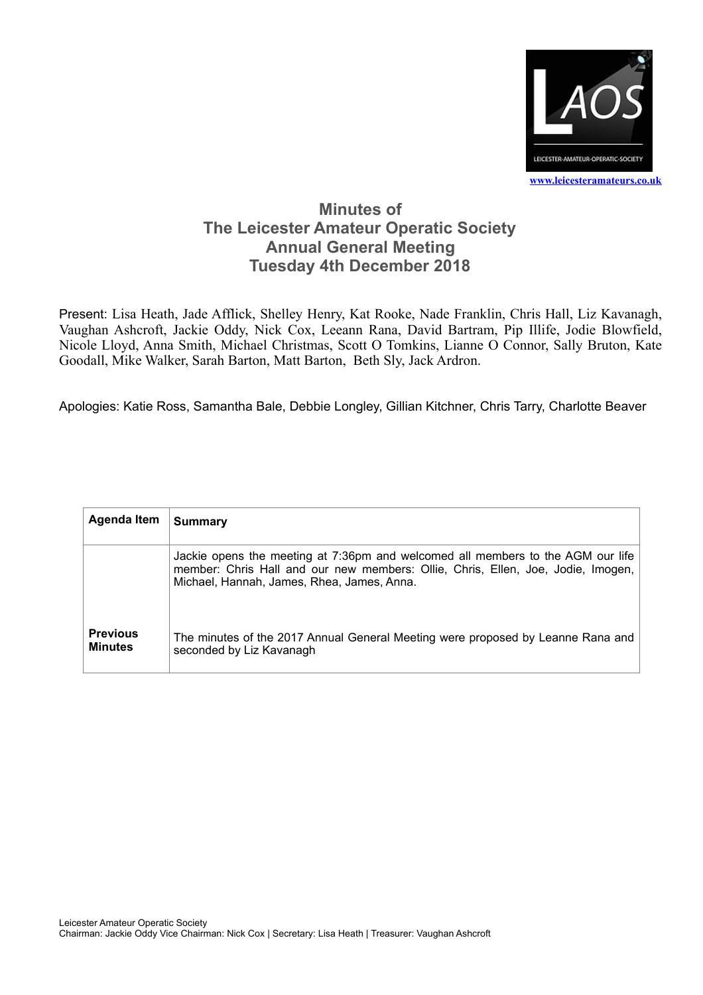

## **Minutes of The Leicester Amateur Operatic Society Annual General Meeting Tuesday 4th December 2018**

Present: Lisa Heath, Jade Afflick, Shelley Henry, Kat Rooke, Nade Franklin, Chris Hall, Liz Kavanagh, Vaughan Ashcroft, Jackie Oddy, Nick Cox, Leeann Rana, David Bartram, Pip Illife, Jodie Blowfield, Nicole Lloyd, Anna Smith, Michael Christmas, Scott O Tomkins, Lianne O Connor, Sally Bruton, Kate Goodall, Mike Walker, Sarah Barton, Matt Barton, Beth Sly, Jack Ardron.

Apologies: Katie Ross, Samantha Bale, Debbie Longley, Gillian Kitchner, Chris Tarry, Charlotte Beaver

| Agenda Item                       | <b>Summary</b>                                                                                                                                                                                                    |
|-----------------------------------|-------------------------------------------------------------------------------------------------------------------------------------------------------------------------------------------------------------------|
|                                   | Jackie opens the meeting at 7:36pm and welcomed all members to the AGM our life<br>member: Chris Hall and our new members: Ollie, Chris, Ellen, Joe, Jodie, Imogen,<br>Michael, Hannah, James, Rhea, James, Anna. |
| <b>Previous</b><br><b>Minutes</b> | The minutes of the 2017 Annual General Meeting were proposed by Leanne Rana and<br>seconded by Liz Kavanagh                                                                                                       |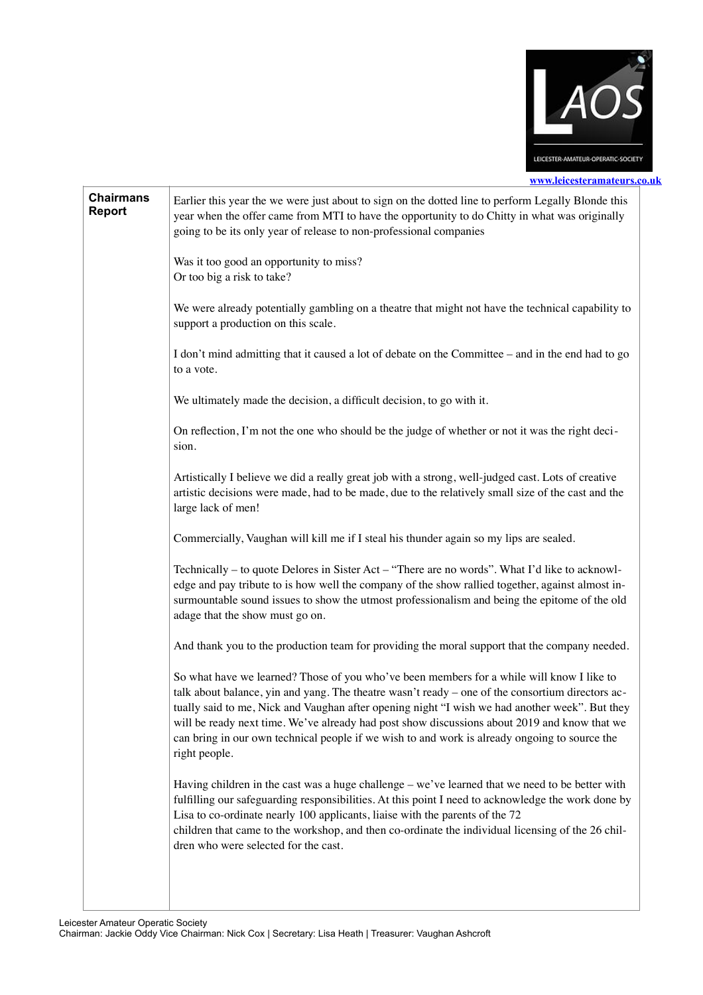

## **[www.leicesteramateurs.co.uk](http://www.leicesteramateurs.co.uk)**

| <b>Chairmans</b><br><b>Report</b> | Earlier this year the we were just about to sign on the dotted line to perform Legally Blonde this<br>year when the offer came from MTI to have the opportunity to do Chitty in what was originally<br>going to be its only year of release to non-professional companies                                                                                                                                                                                                                                         |
|-----------------------------------|-------------------------------------------------------------------------------------------------------------------------------------------------------------------------------------------------------------------------------------------------------------------------------------------------------------------------------------------------------------------------------------------------------------------------------------------------------------------------------------------------------------------|
|                                   | Was it too good an opportunity to miss?<br>Or too big a risk to take?                                                                                                                                                                                                                                                                                                                                                                                                                                             |
|                                   | We were already potentially gambling on a theatre that might not have the technical capability to<br>support a production on this scale.                                                                                                                                                                                                                                                                                                                                                                          |
|                                   | I don't mind admitting that it caused a lot of debate on the Committee – and in the end had to go<br>to a vote.                                                                                                                                                                                                                                                                                                                                                                                                   |
|                                   | We ultimately made the decision, a difficult decision, to go with it.                                                                                                                                                                                                                                                                                                                                                                                                                                             |
|                                   | On reflection, I'm not the one who should be the judge of whether or not it was the right deci-<br>sion.                                                                                                                                                                                                                                                                                                                                                                                                          |
|                                   | Artistically I believe we did a really great job with a strong, well-judged cast. Lots of creative<br>artistic decisions were made, had to be made, due to the relatively small size of the cast and the<br>large lack of men!                                                                                                                                                                                                                                                                                    |
|                                   | Commercially, Vaughan will kill me if I steal his thunder again so my lips are sealed.                                                                                                                                                                                                                                                                                                                                                                                                                            |
|                                   | Technically – to quote Delores in Sister Act – "There are no words". What I'd like to acknowl-<br>edge and pay tribute to is how well the company of the show rallied together, against almost in-<br>surmountable sound issues to show the utmost professionalism and being the epitome of the old<br>adage that the show must go on.                                                                                                                                                                            |
|                                   | And thank you to the production team for providing the moral support that the company needed.                                                                                                                                                                                                                                                                                                                                                                                                                     |
|                                   | So what have we learned? Those of you who've been members for a while will know I like to<br>talk about balance, yin and yang. The theatre wasn't ready – one of the consortium directors ac-<br>tually said to me, Nick and Vaughan after opening night "I wish we had another week". But they<br>will be ready next time. We've already had post show discussions about 2019 and know that we<br>can bring in our own technical people if we wish to and work is already ongoing to source the<br>right people. |
|                                   | Having children in the cast was a huge challenge – we've learned that we need to be better with<br>fulfilling our safeguarding responsibilities. At this point I need to acknowledge the work done by<br>Lisa to co-ordinate nearly 100 applicants, liaise with the parents of the 72<br>children that came to the workshop, and then co-ordinate the individual licensing of the 26 chil-<br>dren who were selected for the cast.                                                                                |
|                                   |                                                                                                                                                                                                                                                                                                                                                                                                                                                                                                                   |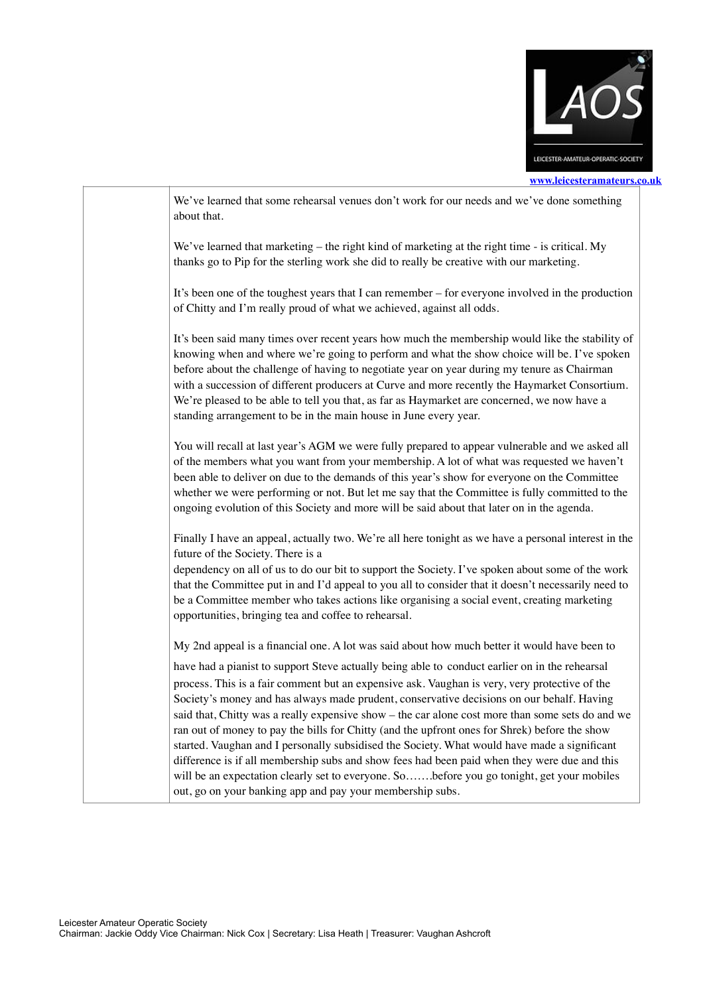

**[www.leicesteramateurs.co.uk](http://www.leicesteramateurs.co.uk)**

| We've learned that some rehearsal venues don't work for our needs and we've done something<br>about that.                                                                                                                                                                                                                                                                                                                                                                                                                                                                                                                                                                                         |  |
|---------------------------------------------------------------------------------------------------------------------------------------------------------------------------------------------------------------------------------------------------------------------------------------------------------------------------------------------------------------------------------------------------------------------------------------------------------------------------------------------------------------------------------------------------------------------------------------------------------------------------------------------------------------------------------------------------|--|
| We've learned that marketing $-$ the right kind of marketing at the right time - is critical. My<br>thanks go to Pip for the sterling work she did to really be creative with our marketing.                                                                                                                                                                                                                                                                                                                                                                                                                                                                                                      |  |
| It's been one of the toughest years that I can remember – for everyone involved in the production<br>of Chitty and I'm really proud of what we achieved, against all odds.                                                                                                                                                                                                                                                                                                                                                                                                                                                                                                                        |  |
| It's been said many times over recent years how much the membership would like the stability of<br>knowing when and where we're going to perform and what the show choice will be. I've spoken<br>before about the challenge of having to negotiate year on year during my tenure as Chairman<br>with a succession of different producers at Curve and more recently the Haymarket Consortium.<br>We're pleased to be able to tell you that, as far as Haymarket are concerned, we now have a<br>standing arrangement to be in the main house in June every year.                                                                                                                                 |  |
| You will recall at last year's AGM we were fully prepared to appear vulnerable and we asked all<br>of the members what you want from your membership. A lot of what was requested we haven't<br>been able to deliver on due to the demands of this year's show for everyone on the Committee<br>whether we were performing or not. But let me say that the Committee is fully committed to the<br>ongoing evolution of this Society and more will be said about that later on in the agenda.                                                                                                                                                                                                      |  |
| Finally I have an appeal, actually two. We're all here tonight as we have a personal interest in the<br>future of the Society. There is a                                                                                                                                                                                                                                                                                                                                                                                                                                                                                                                                                         |  |
| dependency on all of us to do our bit to support the Society. I've spoken about some of the work<br>that the Committee put in and I'd appeal to you all to consider that it doesn't necessarily need to<br>be a Committee member who takes actions like organising a social event, creating marketing<br>opportunities, bringing tea and coffee to rehearsal.                                                                                                                                                                                                                                                                                                                                     |  |
| My 2nd appeal is a financial one. A lot was said about how much better it would have been to                                                                                                                                                                                                                                                                                                                                                                                                                                                                                                                                                                                                      |  |
| have had a pianist to support Steve actually being able to conduct earlier on in the rehearsal<br>process. This is a fair comment but an expensive ask. Vaughan is very, very protective of the<br>Society's money and has always made prudent, conservative decisions on our behalf. Having<br>said that, Chitty was a really expensive show – the car alone cost more than some sets do and we<br>ran out of money to pay the bills for Chitty (and the upfront ones for Shrek) before the show<br>started. Vaughan and I personally subsidised the Society. What would have made a significant<br>difference is if all membership subs and show fees had been paid when they were due and this |  |
| will be an expectation clearly set to everyone. So  before you go tonight, get your mobiles<br>out, go on your banking app and pay your membership subs.                                                                                                                                                                                                                                                                                                                                                                                                                                                                                                                                          |  |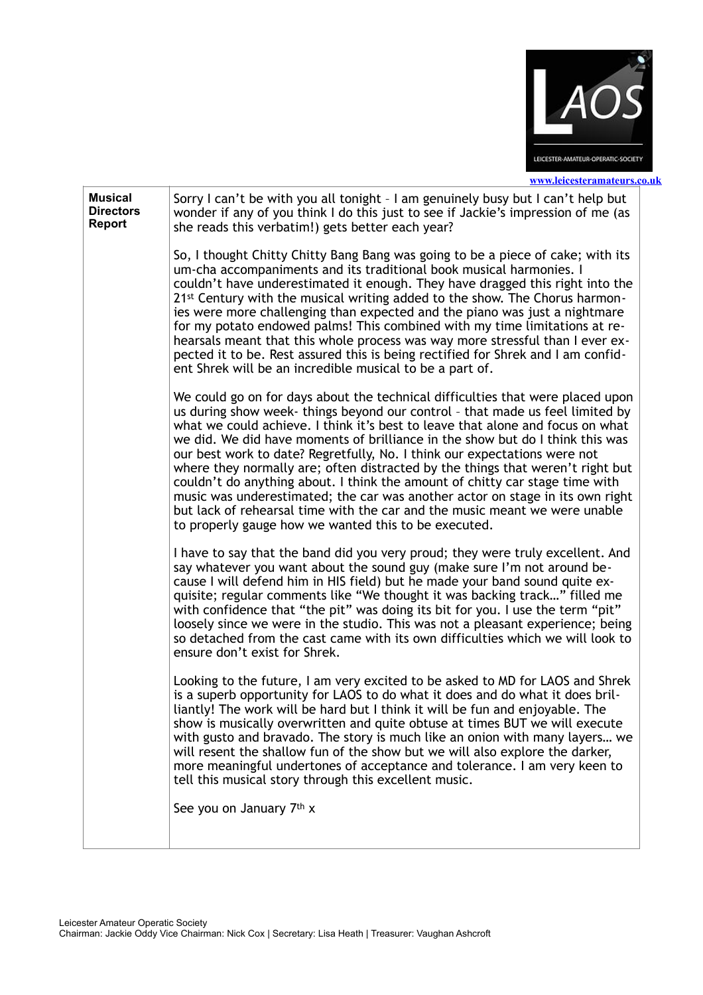

|                                                     | www.leicesteramateurs.                                                                                                                                                                                                                                                                                                                                                                                                                                                                                                                                                                                                                                                                                                                                                                                   |
|-----------------------------------------------------|----------------------------------------------------------------------------------------------------------------------------------------------------------------------------------------------------------------------------------------------------------------------------------------------------------------------------------------------------------------------------------------------------------------------------------------------------------------------------------------------------------------------------------------------------------------------------------------------------------------------------------------------------------------------------------------------------------------------------------------------------------------------------------------------------------|
| <b>Musical</b><br><b>Directors</b><br><b>Report</b> | Sorry I can't be with you all tonight - I am genuinely busy but I can't help but<br>wonder if any of you think I do this just to see if Jackie's impression of me (as<br>she reads this verbatim!) gets better each year?                                                                                                                                                                                                                                                                                                                                                                                                                                                                                                                                                                                |
|                                                     | So, I thought Chitty Chitty Bang Bang was going to be a piece of cake; with its<br>um-cha accompaniments and its traditional book musical harmonies. I<br>couldn't have underestimated it enough. They have dragged this right into the<br>21st Century with the musical writing added to the show. The Chorus harmon-<br>ies were more challenging than expected and the piano was just a nightmare<br>for my potato endowed palms! This combined with my time limitations at re-<br>hearsals meant that this whole process was way more stressful than I ever ex-<br>pected it to be. Rest assured this is being rectified for Shrek and I am confid-<br>ent Shrek will be an incredible musical to be a part of.                                                                                      |
|                                                     | We could go on for days about the technical difficulties that were placed upon<br>us during show week- things beyond our control - that made us feel limited by<br>what we could achieve. I think it's best to leave that alone and focus on what<br>we did. We did have moments of brilliance in the show but do I think this was<br>our best work to date? Regretfully, No. I think our expectations were not<br>where they normally are; often distracted by the things that weren't right but<br>couldn't do anything about. I think the amount of chitty car stage time with<br>music was underestimated; the car was another actor on stage in its own right<br>but lack of rehearsal time with the car and the music meant we were unable<br>to properly gauge how we wanted this to be executed. |
|                                                     | I have to say that the band did you very proud; they were truly excellent. And<br>say whatever you want about the sound guy (make sure I'm not around be-<br>cause I will defend him in HIS field) but he made your band sound quite ex-<br>quisite; regular comments like "We thought it was backing track" filled me<br>with confidence that "the pit" was doing its bit for you. I use the term "pit"<br>loosely since we were in the studio. This was not a pleasant experience; being<br>so detached from the cast came with its own difficulties which we will look to<br>ensure don't exist for Shrek.                                                                                                                                                                                            |
|                                                     | Looking to the future, I am very excited to be asked to MD for LAOS and Shrek<br>is a superb opportunity for LAOS to do what it does and do what it does bril-<br>liantly! The work will be hard but I think it will be fun and enjoyable. The<br>show is musically overwritten and quite obtuse at times BUT we will execute<br>with gusto and bravado. The story is much like an onion with many layers we<br>will resent the shallow fun of the show but we will also explore the darker,<br>more meaningful undertones of acceptance and tolerance. I am very keen to<br>tell this musical story through this excellent music.                                                                                                                                                                       |
|                                                     | See you on January 7th x                                                                                                                                                                                                                                                                                                                                                                                                                                                                                                                                                                                                                                                                                                                                                                                 |
|                                                     |                                                                                                                                                                                                                                                                                                                                                                                                                                                                                                                                                                                                                                                                                                                                                                                                          |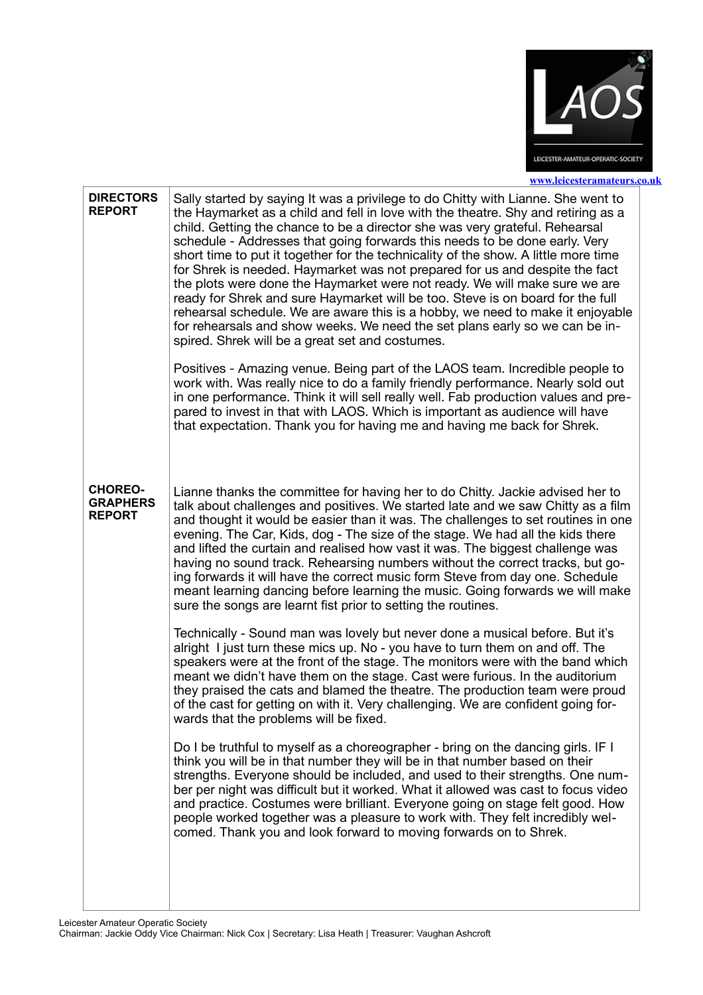

| <b>DIRECTORS</b><br><b>REPORT</b>                  | Sally started by saying It was a privilege to do Chitty with Lianne. She went to<br>the Haymarket as a child and fell in love with the theatre. Shy and retiring as a<br>child. Getting the chance to be a director she was very grateful. Rehearsal<br>schedule - Addresses that going forwards this needs to be done early. Very<br>short time to put it together for the technicality of the show. A little more time<br>for Shrek is needed. Haymarket was not prepared for us and despite the fact<br>the plots were done the Haymarket were not ready. We will make sure we are<br>ready for Shrek and sure Haymarket will be too. Steve is on board for the full<br>rehearsal schedule. We are aware this is a hobby, we need to make it enjoyable<br>for rehearsals and show weeks. We need the set plans early so we can be in-<br>spired. Shrek will be a great set and costumes. |
|----------------------------------------------------|---------------------------------------------------------------------------------------------------------------------------------------------------------------------------------------------------------------------------------------------------------------------------------------------------------------------------------------------------------------------------------------------------------------------------------------------------------------------------------------------------------------------------------------------------------------------------------------------------------------------------------------------------------------------------------------------------------------------------------------------------------------------------------------------------------------------------------------------------------------------------------------------|
|                                                    | Positives - Amazing venue. Being part of the LAOS team. Incredible people to<br>work with. Was really nice to do a family friendly performance. Nearly sold out<br>in one performance. Think it will sell really well. Fab production values and pre-<br>pared to invest in that with LAOS. Which is important as audience will have<br>that expectation. Thank you for having me and having me back for Shrek.                                                                                                                                                                                                                                                                                                                                                                                                                                                                             |
| <b>CHOREO-</b><br><b>GRAPHERS</b><br><b>REPORT</b> | Lianne thanks the committee for having her to do Chitty. Jackie advised her to<br>talk about challenges and positives. We started late and we saw Chitty as a film<br>and thought it would be easier than it was. The challenges to set routines in one<br>evening. The Car, Kids, dog - The size of the stage. We had all the kids there<br>and lifted the curtain and realised how vast it was. The biggest challenge was<br>having no sound track. Rehearsing numbers without the correct tracks, but go-<br>ing forwards it will have the correct music form Steve from day one. Schedule<br>meant learning dancing before learning the music. Going forwards we will make<br>sure the songs are learnt fist prior to setting the routines.                                                                                                                                             |
|                                                    | Technically - Sound man was lovely but never done a musical before. But it's<br>alright I just turn these mics up. No - you have to turn them on and off. The<br>speakers were at the front of the stage. The monitors were with the band which<br>meant we didn't have them on the stage. Cast were furious. In the auditorium<br>they praised the cats and blamed the theatre. The production team were proud<br>of the cast for getting on with it. Very challenging. We are confident going for-<br>wards that the problems will be fixed.                                                                                                                                                                                                                                                                                                                                              |
|                                                    | Do I be truthful to myself as a choreographer - bring on the dancing girls. IF I<br>think you will be in that number they will be in that number based on their<br>strengths. Everyone should be included, and used to their strengths. One num-<br>ber per night was difficult but it worked. What it allowed was cast to focus video<br>and practice. Costumes were brilliant. Everyone going on stage felt good. How<br>people worked together was a pleasure to work with. They felt incredibly wel-<br>comed. Thank you and look forward to moving forwards on to Shrek.                                                                                                                                                                                                                                                                                                               |
|                                                    |                                                                                                                                                                                                                                                                                                                                                                                                                                                                                                                                                                                                                                                                                                                                                                                                                                                                                             |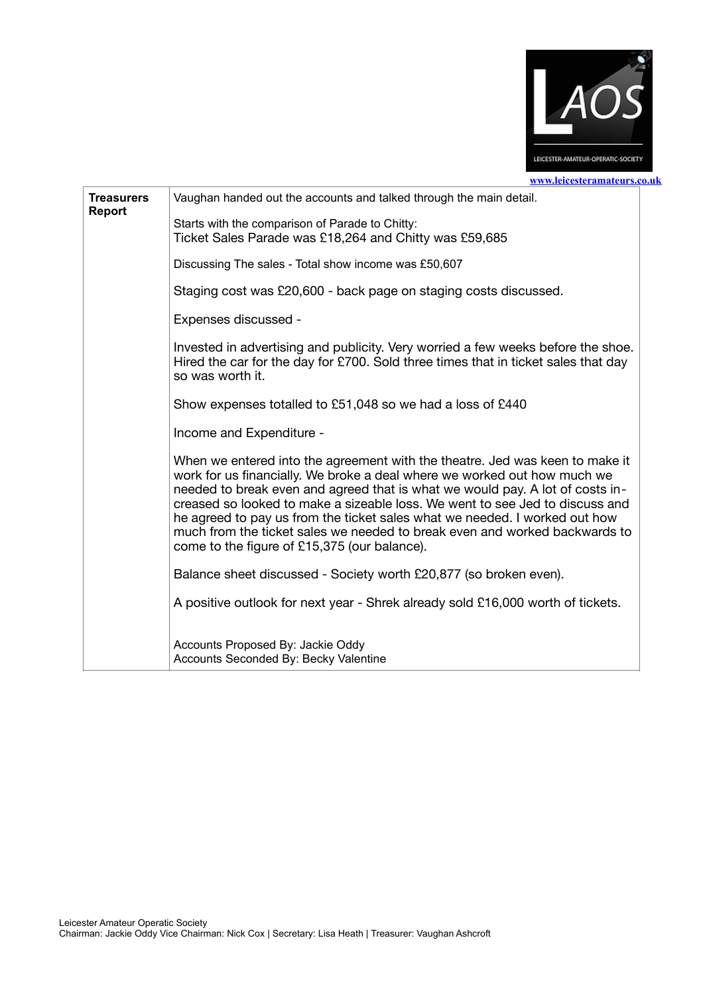

**Treasurers Report** Vaughan handed out the accounts and talked through the main detail. Starts with the comparison of Parade to Chitty: Ticket Sales Parade was £18,264 and Chitty was £59,685 Discussing The sales - Total show income was £50,607 Staging cost was £20,600 - back page on staging costs discussed. Expenses discussed - Invested in advertising and publicity. Very worried a few weeks before the shoe. Hired the car for the day for £700. Sold three times that in ticket sales that day so was worth it. Show expenses totalled to £51,048 so we had a loss of £440 Income and Expenditure - When we entered into the agreement with the theatre. Jed was keen to make it work for us financially. We broke a deal where we worked out how much we needed to break even and agreed that is what we would pay. A lot of costs increased so looked to make a sizeable loss. We went to see Jed to discuss and he agreed to pay us from the ticket sales what we needed. I worked out how much from the ticket sales we needed to break even and worked backwards to come to the figure of £15,375 (our balance). Balance sheet discussed - Society worth £20,877 (so broken even). A positive outlook for next year - Shrek already sold £16,000 worth of tickets. Accounts Proposed By: Jackie Oddy Accounts Seconded By: Becky Valentine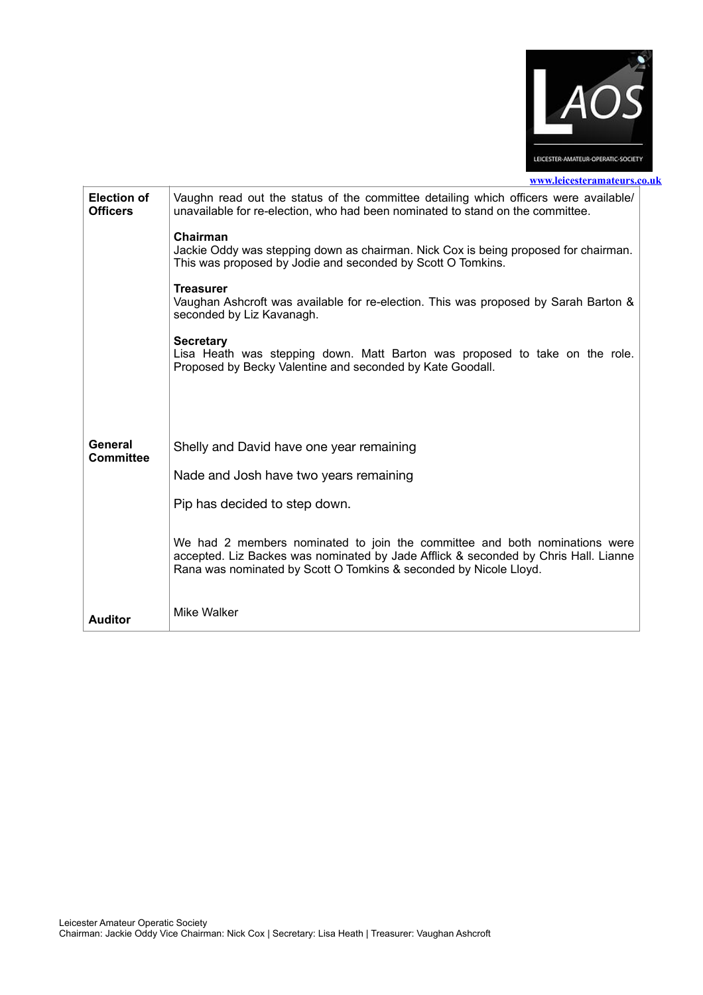

| <b>Election of</b><br><b>Officers</b> | Vaughn read out the status of the committee detailing which officers were available/<br>unavailable for re-election, who had been nominated to stand on the committee.                                                                 |
|---------------------------------------|----------------------------------------------------------------------------------------------------------------------------------------------------------------------------------------------------------------------------------------|
|                                       | Chairman<br>Jackie Oddy was stepping down as chairman. Nick Cox is being proposed for chairman.<br>This was proposed by Jodie and seconded by Scott O Tomkins.                                                                         |
|                                       | <b>Treasurer</b><br>Vaughan Ashcroft was available for re-election. This was proposed by Sarah Barton &<br>seconded by Liz Kavanagh.                                                                                                   |
|                                       | <b>Secretary</b><br>Lisa Heath was stepping down. Matt Barton was proposed to take on the role.<br>Proposed by Becky Valentine and seconded by Kate Goodall.                                                                           |
|                                       |                                                                                                                                                                                                                                        |
| General<br>Committee                  | Shelly and David have one year remaining                                                                                                                                                                                               |
|                                       | Nade and Josh have two years remaining                                                                                                                                                                                                 |
|                                       | Pip has decided to step down.                                                                                                                                                                                                          |
|                                       | We had 2 members nominated to join the committee and both nominations were<br>accepted. Liz Backes was nominated by Jade Afflick & seconded by Chris Hall. Lianne<br>Rana was nominated by Scott O Tomkins & seconded by Nicole Lloyd. |
| <b>Auditor</b>                        | Mike Walker                                                                                                                                                                                                                            |